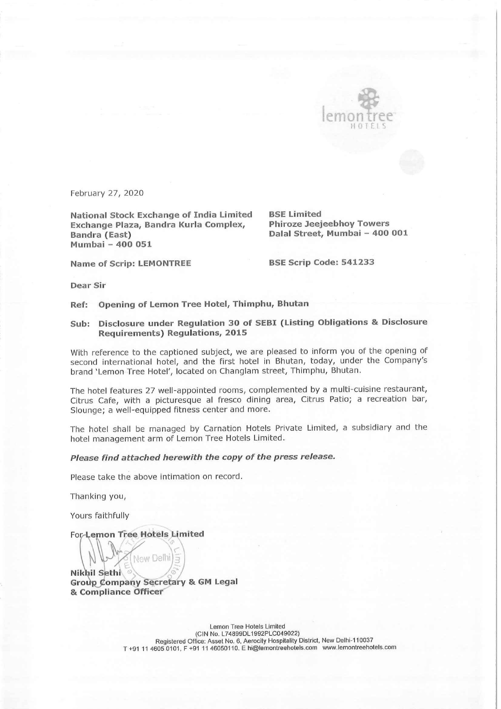

February 27, 2020

National Stock Exchange of India Limited BSE Limited Exchange Plaza, Bandra Kurla Complex, Phiroze Jeejeebhoy Towers Bandra (East) Dalal Street, Mumbai - 400 001 Mumbai - 400 051

Name of Scrip: LEMONTREE BSE Scrip Code: 541233

Dear Sir

Ref: Opening of Lemon Tree Hotel, Thimphu, Bhutan

## Sub: Disclosure under Regulation 30 of SEBI (Listing Obligations & Disclosure Requirements) Regulations, 2015

With reference to the captioned subject, we are pleased to inform you of the opening of second international hotel, and the first hotel in Bhutan, today, under the Company's brand 'Lemon Tree Hotel', located on Changlam street, Thimphu, Bhutan.

The hotel features 27 well-appointed rooms, complemented by a multi-cuisine restaurant, Citrus Cafe, with a picturesque al fresco dining area, Citrus Patio; a recreation bar, Slounge; a well-equipped fitness center and more.

The hotel shall be managed by Carnation Hotels Private Limited, a subsidiary and the hotel management arm of Lemon Tree Hotels Limited.

## Please find attached herewith the copy of the press release.

Please take the above intimation on record.

Thanking you,

Yours faithfully

For-Lemon Tree Hotels Limited

New Delhi Nikhil Sethi Group Company Secretary & GM Legal & Compliance Officer

> Lemon Tree Hotels Limited (CIN No. L74899DL1992PLC049022) Registered Office: Asset No. 6, Aerocity Hospitality District, New Delhi-110037 T +91 11 4605 0101, F +91 11 46050110. E hi@lemontreehotels.com www.lemontreehotels.com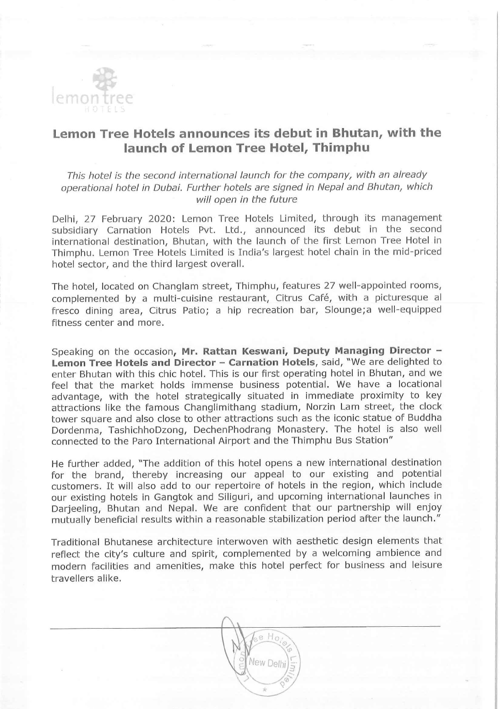

## Lemon Tree Hotels announces its debut in Bhutan, with the launch of Lemon Tree Hotel, Thimphu

This hotel is the second international launch for the company, with an already operational hotel in Dubai. Further hotels are signed in Nepal and Bhutan, which will open in the future

Delhi, 27 February 2020: Lemon Tree Hotels Limited, through its management subsidiary Carnation Hotels Pvt. Ltd., announced its debut in the second international destination, Bhutan, with the launch of the first Lemon Tree Hotel in Thimphu. Lemon Tree Hotels Limited is India's largest hotel chain in the mid-priced hotel sector, and the third largest overall.

The hotel, located on Changlam street, Thimphu, features 27 well-appointed rooms, complemented by a multi-cuisine restaurant, Citrus Café, with a picturesque al fresco dining area, Citrus Patio; a hip recreation bar, Slounge;a well-equipped fitness center and more.

Speaking on the occasion, Mr. Rattan Keswani, Deputy Managing Director -Lemon Tree Hotels and Director - Carnation Hotels, said, "We are delighted to enter Bhutan with this chic hotel. This is our first operating hotel in Bhutan, and we feel that the market holds immense business potential. We have a locational advantage, with the hotel strategically situated in immediate proximity to key attractions like the famous Changlimithang stadium, Norzin Lam street, the clock tower square and also close to other attractions such as the iconic statue of Buddha Dordenma, TashichhoDzong, DechenPhodrang Monastery. The hotel is also well connected to the Paro International Airport and the Thimphu Bus Station"

He further added, "The addition of this hotel opens a new international destination for the brand, thereby increasing our appeal to our existing and potential customers. It will also add to our repertoire of hotels in the region, which include our existing hotels in Gangtok and Siliguri, and upcoming international launches in Darjeeling, Bhutan and Nepal. We are confident that our partnership will enjoy mutually beneficial results within a reasonable stabilization period after the launch."

Traditional Bhutanese architecture interwoven with aesthetic design elements that reflect the city's culture and spirit, complemented by a welcoming ambience and modern facilities and amenities, make this hotel perfect for business and leisure travellers alike.